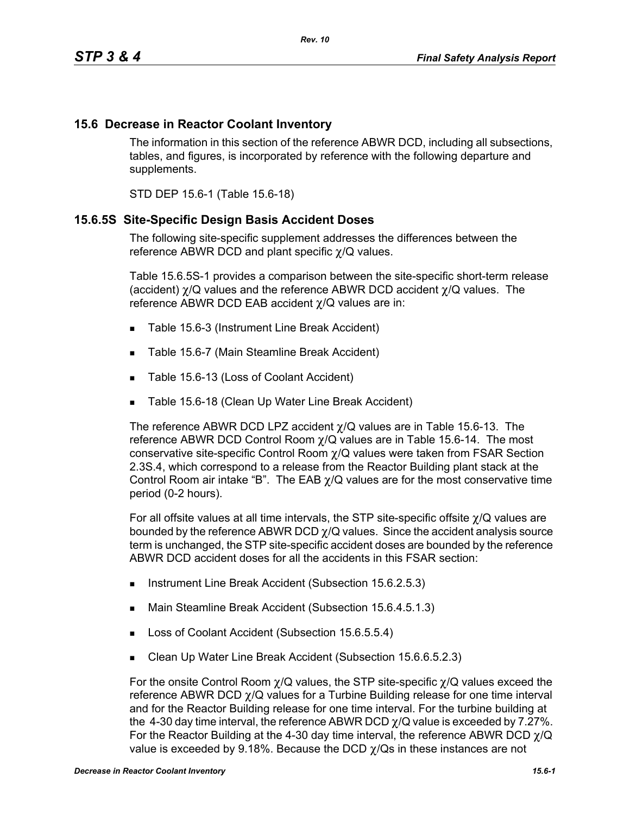### **15.6 Decrease in Reactor Coolant Inventory**

The information in this section of the reference ABWR DCD, including all subsections, tables, and figures, is incorporated by reference with the following departure and supplements.

STD DEP 15.6-1 (Table 15.6-18)

#### **15.6.5S Site-Specific Design Basis Accident Doses**

The following site-specific supplement addresses the differences between the reference ABWR DCD and plant specific χ/Q values.

Table 15.6.5S-1 provides a comparison between the site-specific short-term release (accident) χ/Q values and the reference ABWR DCD accident χ/Q values. The reference ABWR DCD EAB accident χ/Q values are in:

- Table 15.6-3 (Instrument Line Break Accident)
- Table 15.6-7 (Main Steamline Break Accident)
- Table 15.6-13 (Loss of Coolant Accident)
- Table 15.6-18 (Clean Up Water Line Break Accident)

The reference ABWR DCD LPZ accident  $\chi$ /Q values are in Table 15.6-13. The reference ABWR DCD Control Room  $\chi$ /Q values are in Table 15.6-14. The most conservative site-specific Control Room χ/Q values were taken from FSAR Section 2.3S.4, which correspond to a release from the Reactor Building plant stack at the Control Room air intake "B". The EAB  $\chi$ /Q values are for the most conservative time period (0-2 hours).

For all offsite values at all time intervals, the STP site-specific offsite χ/Q values are bounded by the reference ABWR DCD  $\chi$ /Q values. Since the accident analysis source term is unchanged, the STP site-specific accident doses are bounded by the reference ABWR DCD accident doses for all the accidents in this FSAR section:

- Instrument Line Break Accident (Subsection 15.6.2.5.3)
- Main Steamline Break Accident (Subsection 15.6.4.5.1.3)
- Loss of Coolant Accident (Subsection 15.6.5.5.4)
- Clean Up Water Line Break Accident (Subsection 15.6.6.5.2.3)

For the onsite Control Room  $\chi$ /Q values, the STP site-specific  $\chi$ /Q values exceed the reference ABWR DCD χ/Q values for a Turbine Building release for one time interval and for the Reactor Building release for one time interval. For the turbine building at the 4-30 day time interval, the reference ABWR DCD  $\chi$ /Q value is exceeded by 7.27%. For the Reactor Building at the 4-30 day time interval, the reference ABWR DCD  $\gamma$ /Q value is exceeded by 9.18%. Because the DCD  $\gamma$ /Qs in these instances are not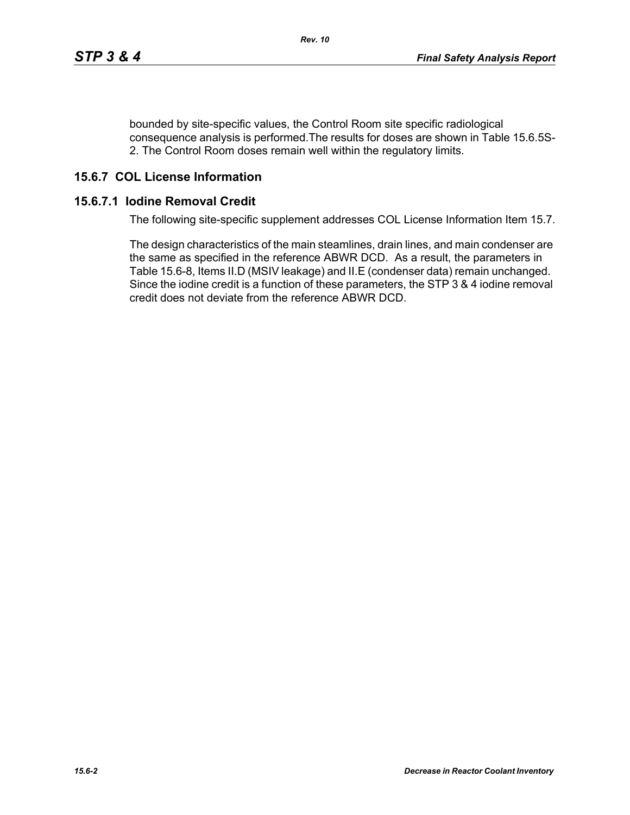bounded by site-specific values, the Control Room site specific radiological consequence analysis is performed.The results for doses are shown in Table 15.6.5S-2. The Control Room doses remain well within the regulatory limits.

# **15.6.7 COL License Information**

#### **15.6.7.1 Iodine Removal Credit**

The following site-specific supplement addresses COL License Information Item 15.7.

The design characteristics of the main steamlines, drain lines, and main condenser are the same as specified in the reference ABWR DCD. As a result, the parameters in Table 15.6-8, Items II.D (MSIV leakage) and II.E (condenser data) remain unchanged. Since the iodine credit is a function of these parameters, the STP 3 & 4 iodine removal credit does not deviate from the reference ABWR DCD.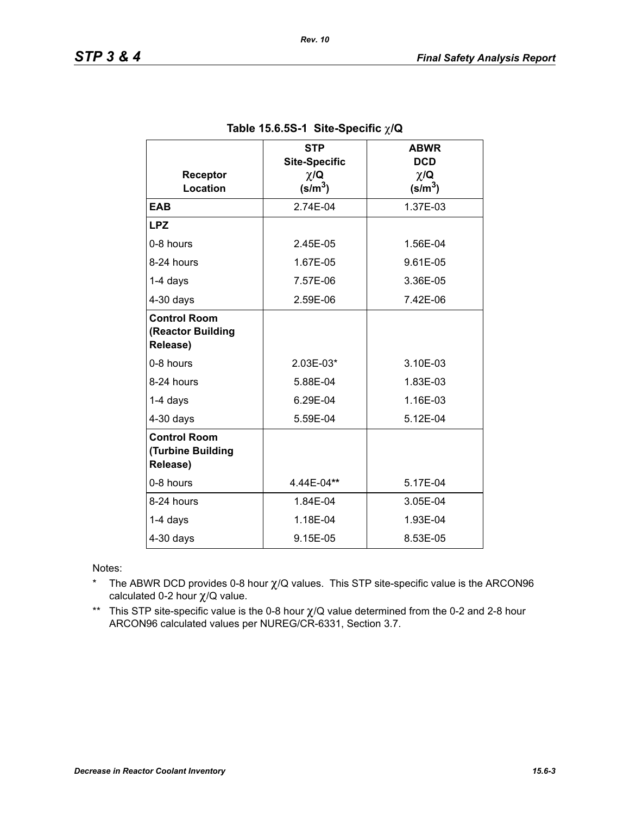| Receptor                                             | <b>STP</b><br><b>Site-Specific</b><br>$\chi/\mathbf{Q}$ | <b>ABWR</b><br><b>DCD</b><br>$\chi/\mathbf{Q}$ |
|------------------------------------------------------|---------------------------------------------------------|------------------------------------------------|
| Location                                             | $(s/m^3)$                                               | $(s/m^3)$                                      |
| <b>EAB</b>                                           | 2.74E-04                                                | 1.37E-03                                       |
| <b>LPZ</b>                                           |                                                         |                                                |
| 0-8 hours                                            | 2.45E-05                                                | 1.56E-04                                       |
| 8-24 hours                                           | 1.67E-05                                                | 9.61E-05                                       |
| $1-4$ days                                           | 7.57E-06                                                | 3.36E-05                                       |
| $4-30$ days                                          | 2.59E-06                                                | 7.42E-06                                       |
| <b>Control Room</b><br>(Reactor Building<br>Release) |                                                         |                                                |
| 0-8 hours                                            | 2.03E-03*                                               | 3.10E-03                                       |
| 8-24 hours                                           | 5.88E-04                                                | 1.83E-03                                       |
| $1-4$ days                                           | 6.29E-04                                                | 1.16E-03                                       |
| $4-30$ days                                          | 5.59E-04                                                | 5.12E-04                                       |
| <b>Control Room</b><br>(Turbine Building<br>Release) |                                                         |                                                |
| 0-8 hours                                            | 4.44E-04**                                              | 5.17E-04                                       |
| 8-24 hours                                           | 1.84E-04                                                | 3.05E-04                                       |
| 1-4 days                                             | 1.18E-04                                                | 1.93E-04                                       |
| $4-30$ days                                          | 9.15E-05                                                | 8.53E-05                                       |

### **Table 15.6.5S-1 Site-Specific** χ**/Q**

Notes:

- \* The ABWR DCD provides 0-8 hour  $\chi$ /Q values. This STP site-specific value is the ARCON96 calculated 0-2 hour χ/Q value.
- \*\* This STP site-specific value is the 0-8 hour χ/Q value determined from the 0-2 and 2-8 hour ARCON96 calculated values per NUREG/CR-6331, Section 3.7.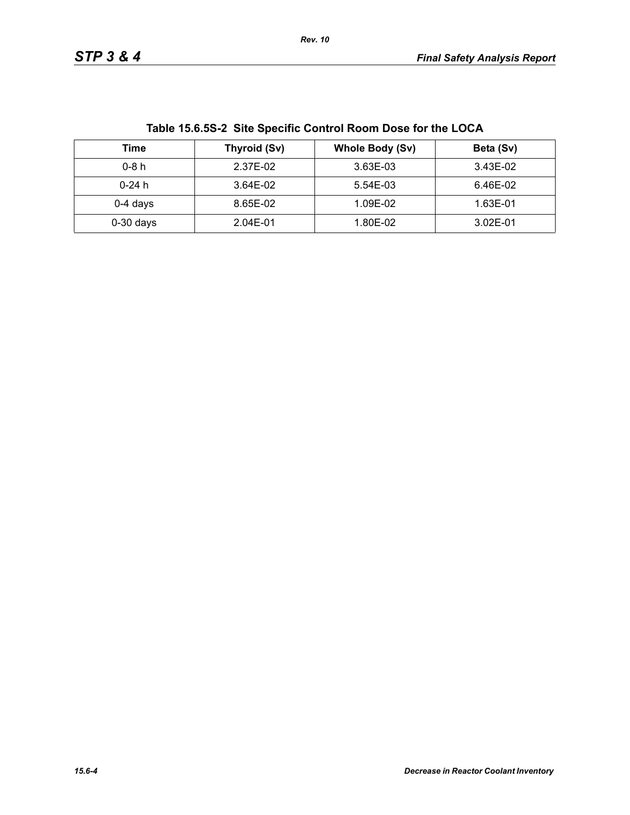| Table 15.6.5S-2 Site Specific Control Room Dose for the LOCA |              |                        |              |  |
|--------------------------------------------------------------|--------------|------------------------|--------------|--|
| Time                                                         | Thyroid (Sv) | <b>Whole Body (Sv)</b> | Beta (Sv)    |  |
| $0-8h$                                                       | 2.37E-02     | 3.63E-03               | 3.43E-02     |  |
| $0-24h$                                                      | 3.64E-02     | 5.54E-03               | 6.46E-02     |  |
| $0-4$ days                                                   | 8.65E-02     | 1.09E-02               | 1.63E-01     |  |
| $0-30$ days                                                  | 2.04E-01     | 1.80E-02               | $3.02E - 01$ |  |

**Table 15.6.5S-2 Site Specific Control Room Dose for the LOCA**